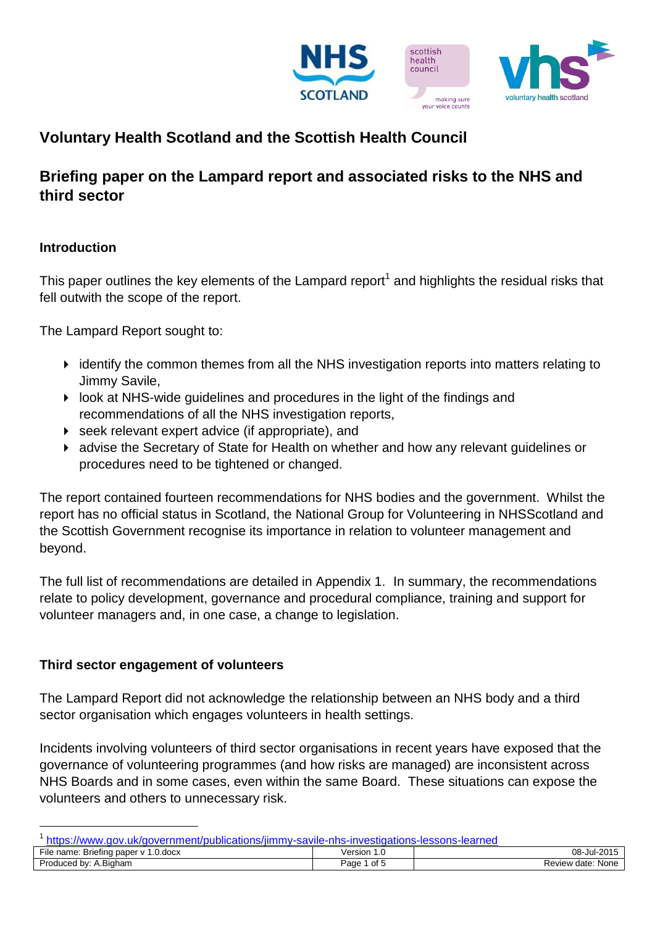

# **Voluntary Health Scotland and the Scottish Health Council**

## **Briefing paper on the Lampard report and associated risks to the NHS and third sector**

## **Introduction**

1

This paper outlines the key elements of the Lampard report<sup>1</sup> and highlights the residual risks that fell outwith the scope of the report.

The Lampard Report sought to:

- identify the common themes from all the NHS investigation reports into matters relating to Jimmy Savile,
- look at NHS-wide guidelines and procedures in the light of the findings and recommendations of all the NHS investigation reports,
- seek relevant expert advice (if appropriate), and
- advise the Secretary of State for Health on whether and how any relevant guidelines or procedures need to be tightened or changed.

The report contained fourteen recommendations for NHS bodies and the government. Whilst the report has no official status in Scotland, the National Group for Volunteering in NHSScotland and the Scottish Government recognise its importance in relation to volunteer management and beyond.

The full list of recommendations are detailed in Appendix 1. In summary, the recommendations relate to policy development, governance and procedural compliance, training and support for volunteer managers and, in one case, a change to legislation.

#### **Third sector engagement of volunteers**

The Lampard Report did not acknowledge the relationship between an NHS body and a third sector organisation which engages volunteers in health settings.

Incidents involving volunteers of third sector organisations in recent years have exposed that the governance of volunteering programmes (and how risks are managed) are inconsistent across NHS Boards and in some cases, even within the same Board. These situations can expose the volunteers and others to unnecessary risk.

<sup>&</sup>lt;sup>1</sup> <https://www.gov.uk/government/publications/jimmy-savile-nhs-investigations-lessons-learned>

| <u>ouvino ililo ilivooliguloilo looodilo loulitou</u>                        |              |                                   |  |
|------------------------------------------------------------------------------|--------------|-----------------------------------|--|
| $- \cdot \cdot$<br>$ -$<br>0.00c <sub>X</sub><br>File name: Briefing paper v | Version      | 08-Jul-2015                       |  |
| Produced<br>4.Biaham<br>bv:                                                  | of 5<br>Page | <sup>,</sup> date: None<br>Review |  |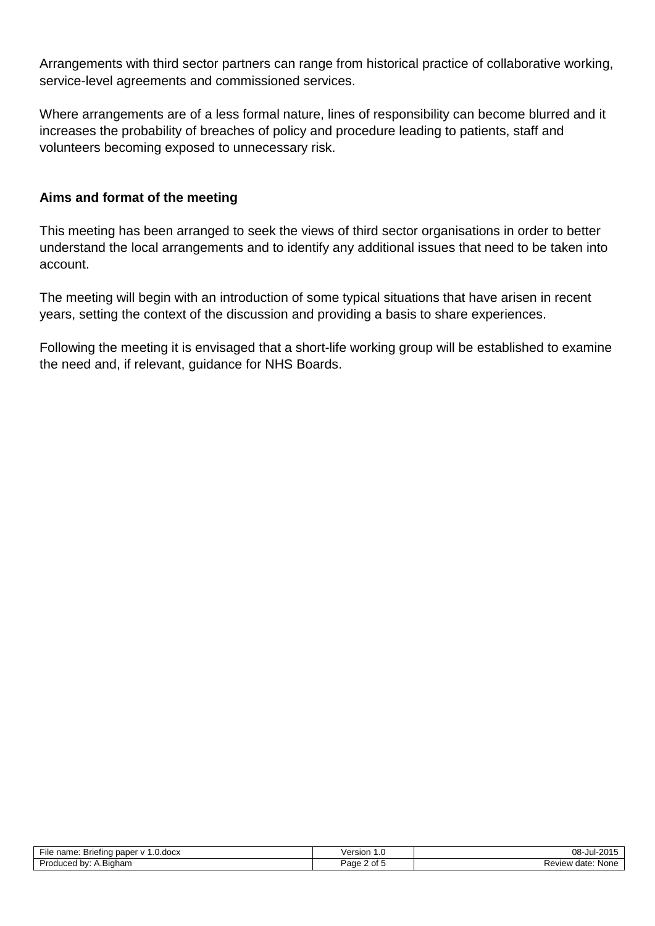Arrangements with third sector partners can range from historical practice of collaborative working, service-level agreements and commissioned services.

Where arrangements are of a less formal nature, lines of responsibility can become blurred and it increases the probability of breaches of policy and procedure leading to patients, staff and volunteers becoming exposed to unnecessary risk.

## **Aims and format of the meeting**

This meeting has been arranged to seek the views of third sector organisations in order to better understand the local arrangements and to identify any additional issues that need to be taken into account.

The meeting will begin with an introduction of some typical situations that have arisen in recent years, setting the context of the discussion and providing a basis to share experiences.

Following the meeting it is envisaged that a short-life working group will be established to examine the need and, if relevant, guidance for NHS Boards.

| File name: Briefing paper v 1.<br>$0.00c$ x | Version<br>1.0 | 08-Jul-2015       |
|---------------------------------------------|----------------|-------------------|
| v: A.Biaham<br>Produced by:                 | Page 2 of 5    | Review date: None |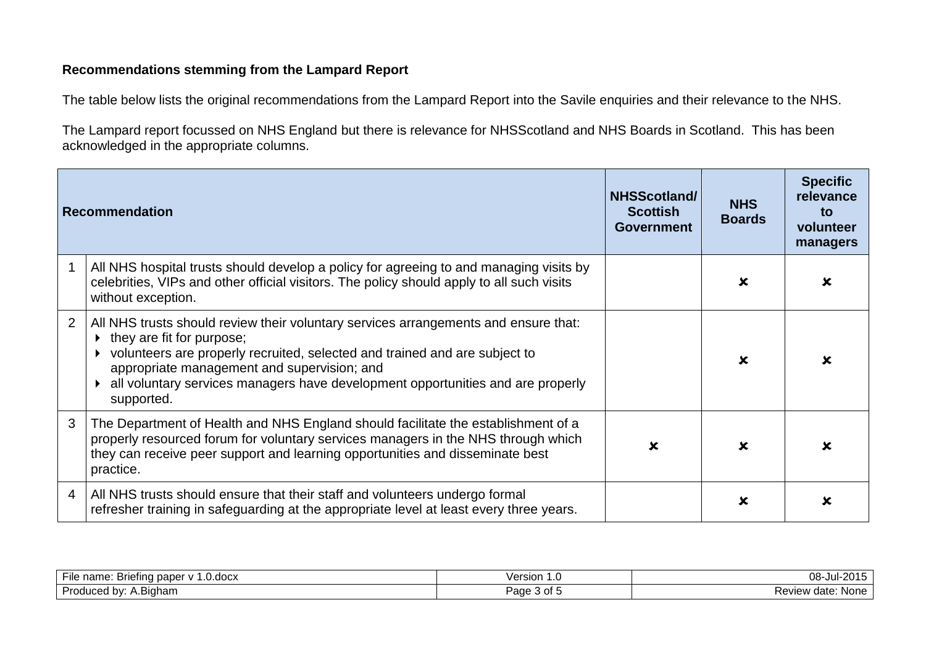## **Recommendations stemming from the Lampard Report**

The table below lists the original recommendations from the Lampard Report into the Savile enquiries and their relevance to the NHS.

The Lampard report focussed on NHS England but there is relevance for NHSScotland and NHS Boards in Scotland. This has been acknowledged in the appropriate columns.

|   | Recommendation                                                                                                                                                                                                                                                                                                                                 | NHSScotland/<br><b>Scottish</b><br><b>Government</b> | <b>NHS</b><br><b>Boards</b> | <b>Specific</b><br>relevance<br>to<br>volunteer<br>managers |
|---|------------------------------------------------------------------------------------------------------------------------------------------------------------------------------------------------------------------------------------------------------------------------------------------------------------------------------------------------|------------------------------------------------------|-----------------------------|-------------------------------------------------------------|
|   | All NHS hospital trusts should develop a policy for agreeing to and managing visits by<br>celebrities, VIPs and other official visitors. The policy should apply to all such visits<br>without exception.                                                                                                                                      |                                                      | x                           |                                                             |
| 2 | All NHS trusts should review their voluntary services arrangements and ensure that:<br>they are fit for purpose;<br>volunteers are properly recruited, selected and trained and are subject to<br>appropriate management and supervision; and<br>all voluntary services managers have development opportunities and are properly<br>supported. |                                                      | x                           |                                                             |
| 3 | The Department of Health and NHS England should facilitate the establishment of a<br>properly resourced forum for voluntary services managers in the NHS through which<br>they can receive peer support and learning opportunities and disseminate best<br>practice.                                                                           | $\mathbf x$                                          | x                           |                                                             |
| 4 | All NHS trusts should ensure that their staff and volunteers undergo formal<br>refresher training in safeguarding at the appropriate level at least every three years.                                                                                                                                                                         |                                                      | x                           |                                                             |

| ---<br>1.700y<br>. Briefing paper '<br>name.<br><b>File</b><br>.uuun | /ersion<br>.              | $08 -$ Jul-20<br>$\sim$ $\sim$ $\sim$<br>┚┙ |
|----------------------------------------------------------------------|---------------------------|---------------------------------------------|
| Produced by:<br>$-$<br><b>Bigham</b>                                 | $\sim$<br>Page 5<br>ט ושי | Review date:<br>None                        |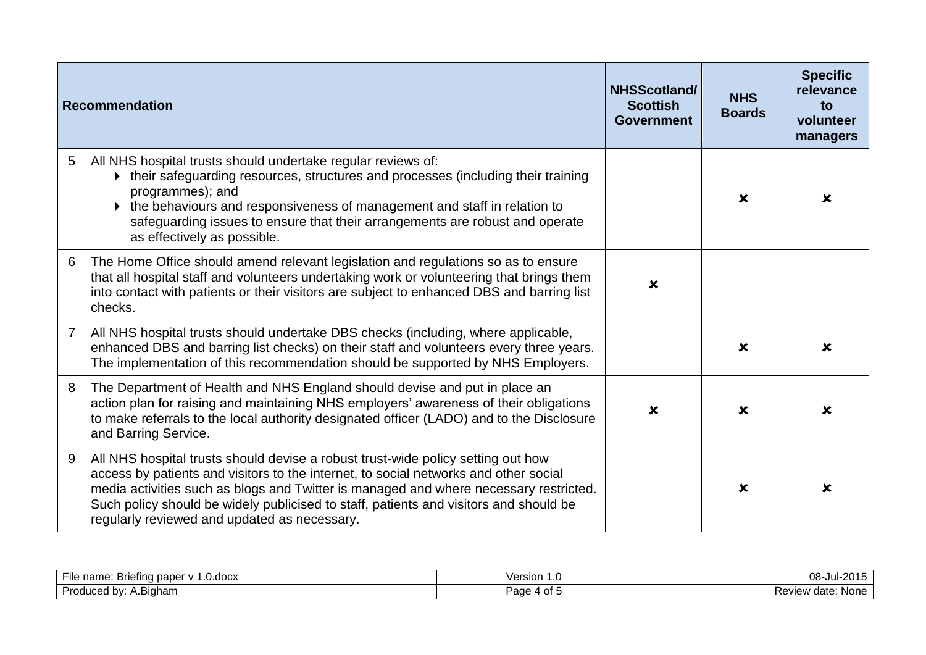|   | <b>Recommendation</b>                                                                                                                                                                                                                                                                                                                                                                                      | NHSScotland/<br><b>Scottish</b><br><b>Government</b> | <b>NHS</b><br><b>Boards</b> | <b>Specific</b><br>relevance<br>to<br>volunteer<br>managers |
|---|------------------------------------------------------------------------------------------------------------------------------------------------------------------------------------------------------------------------------------------------------------------------------------------------------------------------------------------------------------------------------------------------------------|------------------------------------------------------|-----------------------------|-------------------------------------------------------------|
| 5 | All NHS hospital trusts should undertake regular reviews of:<br>• their safeguarding resources, structures and processes (including their training<br>programmes); and<br>the behaviours and responsiveness of management and staff in relation to<br>safeguarding issues to ensure that their arrangements are robust and operate<br>as effectively as possible.                                          |                                                      | $\mathbf x$                 | $\mathbf x$                                                 |
| 6 | The Home Office should amend relevant legislation and regulations so as to ensure<br>that all hospital staff and volunteers undertaking work or volunteering that brings them<br>into contact with patients or their visitors are subject to enhanced DBS and barring list<br>checks.                                                                                                                      | $\boldsymbol{\mathsf{x}}$                            |                             |                                                             |
| 7 | All NHS hospital trusts should undertake DBS checks (including, where applicable,<br>enhanced DBS and barring list checks) on their staff and volunteers every three years.<br>The implementation of this recommendation should be supported by NHS Employers.                                                                                                                                             |                                                      | $\mathbf x$                 | x                                                           |
| 8 | The Department of Health and NHS England should devise and put in place an<br>action plan for raising and maintaining NHS employers' awareness of their obligations<br>to make referrals to the local authority designated officer (LADO) and to the Disclosure<br>and Barring Service.                                                                                                                    | $\boldsymbol{\mathsf{x}}$                            | $\mathbf x$                 | x                                                           |
| 9 | All NHS hospital trusts should devise a robust trust-wide policy setting out how<br>access by patients and visitors to the internet, to social networks and other social<br>media activities such as blogs and Twitter is managed and where necessary restricted.<br>Such policy should be widely publicised to staff, patients and visitors and should be<br>regularly reviewed and updated as necessary. |                                                      | $\boldsymbol{\mathsf{x}}$   | x                                                           |

| $- \cdot \cdot$<br>L.0.docx<br>name.<br>. Briefing paper v<br>110ء<br>. . | 100000<br>'UUNU<br>. | 08-<br>JUF.             |
|---------------------------------------------------------------------------|----------------------|-------------------------|
| √∩س<br>ا اهمر<br>∖.Biɑham<br><b>b</b><br>100u<br>.<br>.                   | age<br>⊶ ∪⊩ ⊾        | None<br>Review<br>date. |